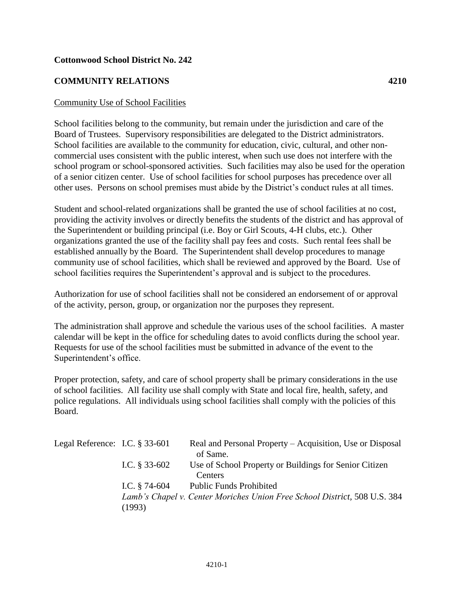## **Cottonwood School District No. 242**

## **COMMUNITY RELATIONS 4210**

## Community Use of School Facilities

School facilities belong to the community, but remain under the jurisdiction and care of the Board of Trustees. Supervisory responsibilities are delegated to the District administrators. School facilities are available to the community for education, civic, cultural, and other noncommercial uses consistent with the public interest, when such use does not interfere with the school program or school-sponsored activities. Such facilities may also be used for the operation of a senior citizen center. Use of school facilities for school purposes has precedence over all other uses. Persons on school premises must abide by the District's conduct rules at all times.

Student and school-related organizations shall be granted the use of school facilities at no cost, providing the activity involves or directly benefits the students of the district and has approval of the Superintendent or building principal (i.e. Boy or Girl Scouts, 4-H clubs, etc.). Other organizations granted the use of the facility shall pay fees and costs. Such rental fees shall be established annually by the Board. The Superintendent shall develop procedures to manage community use of school facilities, which shall be reviewed and approved by the Board. Use of school facilities requires the Superintendent's approval and is subject to the procedures.

Authorization for use of school facilities shall not be considered an endorsement of or approval of the activity, person, group, or organization nor the purposes they represent.

The administration shall approve and schedule the various uses of the school facilities. A master calendar will be kept in the office for scheduling dates to avoid conflicts during the school year. Requests for use of the school facilities must be submitted in advance of the event to the Superintendent's office.

Proper protection, safety, and care of school property shall be primary considerations in the use of school facilities. All facility use shall comply with State and local fire, health, safety, and police regulations. All individuals using school facilities shall comply with the policies of this Board.

| Legal Reference: I.C. $\S 33-601$ |                 | Real and Personal Property – Acquisition, Use or Disposal<br>of Same.     |
|-----------------------------------|-----------------|---------------------------------------------------------------------------|
|                                   | I.C. $§$ 33-602 | Use of School Property or Buildings for Senior Citizen                    |
|                                   |                 | Centers                                                                   |
|                                   | I.C. $§$ 74-604 | <b>Public Funds Prohibited</b>                                            |
|                                   |                 | Lamb's Chapel v. Center Moriches Union Free School District, 508 U.S. 384 |
|                                   | (1993)          |                                                                           |